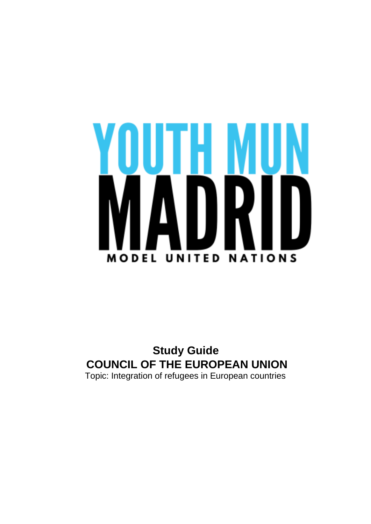

**Study Guide COUNCIL OF THE EUROPEAN UNION** Topic: Integration of refugees in European countries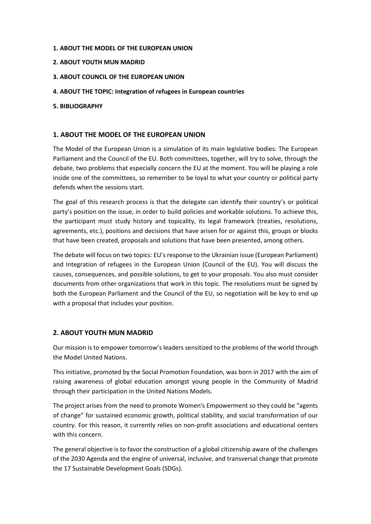## **1. ABOUT THE MODEL OF THE EUROPEAN UNION**

- **2. ABOUT YOUTH MUN MADRID**
- **3. ABOUT COUNCIL OF THE EUROPEAN UNION**
- **4. ABOUT THE TOPIC: Integration of refugees in European countries**
- **5. BIBLIOGRAPHY**

# **1. ABOUT THE MODEL OF THE EUROPEAN UNION**

The Model of the European Union is a simulation of its main legislative bodies: The European Parliament and the Council of the EU. Both committees, together, will try to solve, through the debate, two problems that especially concern the EU at the moment. You will be playing a role inside one of the committees, so remember to be loyal to what your country or political party defends when the sessions start.

The goal of this research process is that the delegate can identify their country's or political party's position on the issue, in order to build policies and workable solutions. To achieve this, the participant must study history and topicality, its legal framework (treaties, resolutions, agreements, etc.), positions and decisions that have arisen for or against this, groups or blocks that have been created, proposals and solutions that have been presented, among others.

The debate will focus on two topics: EU's response to the Ukrainian issue (European Parliament) and Integration of refugees in the European Union (Council of the EU). You will discuss the causes, consequences, and possible solutions, to get to your proposals. You also must consider documents from other organizations that work in this topic. The resolutions must be signed by both the European Parliament and the Council of the EU, so negotiation will be key to end up with a proposal that includes your position.

# **2. ABOUT YOUTH MUN MADRID**

Our mission is to empower tomorrow's leaders sensitized to the problems of the world through the Model United Nations.

This initiative, promoted by the Social Promotion Foundation, was born in 2017 with the aim of raising awareness of global education amongst young people in the Community of Madrid through their participation in the United Nations Models.

The project arises from the need to promote Women's Empowerment so they could be "agents of change" for sustained economic growth, political stability, and social transformation of our country. For this reason, it currently relies on non-profit associations and educational centers with this concern.

The general objective is to favor the construction of a global citizenship aware of the challenges of the 2030 Agenda and the engine of universal, inclusive, and transversal change that promote the 17 Sustainable Development Goals (SDGs).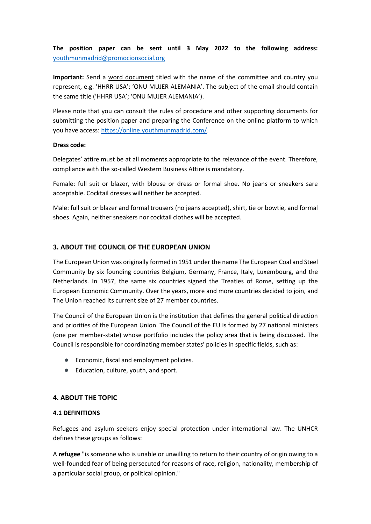**The position paper can be sent until 3 May 2022 to the following address:**  [youthmunmadrid@promocionsocial.org](mailto:youthmunmadrid@promocionsocial.org)

**Important:** Send a word document titled with the name of the committee and country you represent, e.g. 'HHRR USA'; 'ONU MUJER ALEMANIA'. The subject of the email should contain the same title ('HHRR USA'; 'ONU MUJER ALEMANIA').

Please note that you can consult the rules of procedure and other supporting documents for submitting the position paper and preparing the Conference on the online platform to which you have access: [https://online.youthmunmadrid.com/.](https://online.youthmunmadrid.com/)

#### **Dress code:**

Delegates' attire must be at all moments appropriate to the relevance of the event. Therefore, compliance with the so-called Western Business Attire is mandatory.

Female: full suit or blazer, with blouse or dress or formal shoe. No jeans or sneakers sare acceptable. Cocktail dresses will neither be accepted.

Male: full suit or blazer and formal trousers (no jeans accepted), shirt, tie or bowtie, and formal shoes. Again, neither sneakers nor cocktail clothes will be accepted.

# **3. ABOUT THE COUNCIL OF THE EUROPEAN UNION**

The European Union was originally formed in 1951 under the name The European Coal and Steel Community by six founding countries Belgium, Germany, France, Italy, Luxembourg, and the Netherlands. In 1957, the same six countries signed the Treaties of Rome, setting up the European Economic Community. Over the years, more and more countries decided to join, and The Union reached its current size of 27 member countries.

The Council of the European Union is the institution that defines the general political direction and priorities of the European Union. The Council of the EU is formed by 27 national ministers (one per member-state) whose portfolio includes the policy area that is being discussed. The Council is responsible for coordinating member states' policies in specific fields, such as:

- Economic, fiscal and employment policies.
- Education, culture, youth, and sport.

# **4. ABOUT THE TOPIC**

# **4.1 DEFINITIONS**

Refugees and asylum seekers enjoy special protection under international law. The UNHCR defines these groups as follows:

A **refugee** "is someone who is unable or unwilling to return to their country of origin owing to a well-founded fear of being persecuted for reasons of race, religion, nationality, membership of a particular social group, or political opinion."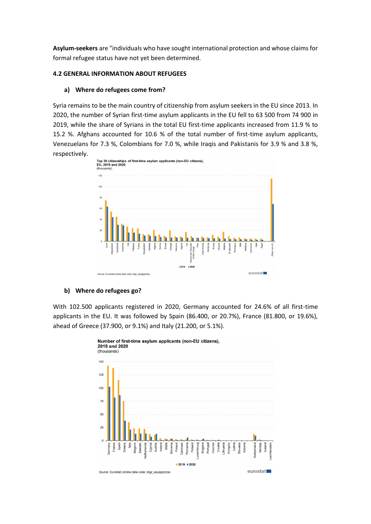**Asylum-seekers** are "individuals who have sought international protection and whose claims for formal refugee status have not yet been determined.

## **4.2 GENERAL INFORMATION ABOUT REFUGEES**

### **a) Where do refugees come from?**

Syria remains to be the main country of citizenship from asylum seekers in the EU since 2013. In 2020, the number of Syrian first-time asylum applicants in the EU fell to 63 500 from 74 900 in 2019, while the share of Syrians in the total EU first-time applicants increased from 11.9 % to 15.2 %. Afghans accounted for 10.6 % of the total number of first-time asylum applicants, Venezuelans for 7.3 %, Colombians for 7.0 %, while Iraqis and Pakistanis for 3.9 % and 3.8 %, respectively.



#### **b) Where do refugees go?**

With 102.500 applicants registered in 2020, Germany accounted for 24.6% of all first-time applicants in the EU. It was followed by Spain (86.400, or 20.7%), France (81.800, or 19.6%), ahead of Greece (37.900, or 9.1%) and Italy (21.200, or 5.1%).

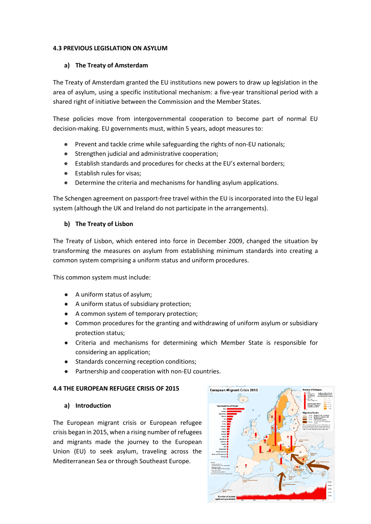## **4.3 PREVIOUS LEGISLATION ON ASYLUM**

## **a) The Treaty of Amsterdam**

The Treaty of Amsterdam granted the EU institutions new powers to draw up legislation in the area of asylum, using a specific institutional mechanism: a five-year transitional period with a shared right of initiative between the Commission and the Member States.

These policies move from intergovernmental cooperation to become part of normal EU decision-making. EU governments must, within 5 years, adopt measures to:

- Prevent and tackle crime while safeguarding the rights of non-EU nationals;
- Strengthen judicial and administrative cooperation;
- Establish standards and procedures for checks at the EU's external borders;
- Establish rules for visas;
- Determine the criteria and mechanisms for handling asylum applications.

The [Schengen agreement](http://eur-lex.europa.eu/summary/glossary/schengen_agreement.html) on passport-free travel within the EU is incorporated into the EU legal system (although the UK and Ireland do not participate in the arrangements).

# **b) The Treaty of Lisbon**

The Treaty of Lisbon, which entered into force in December 2009, changed the situation by transforming the measures on asylum from establishing minimum standards into creating a common system comprising a uniform status and uniform procedures.

This common system must include:

- A uniform status of asylum;
- A uniform status of subsidiary protection;
- A common system of temporary protection;
- Common procedures for the granting and withdrawing of uniform asylum or subsidiary protection status;
- Criteria and mechanisms for determining which Member State is responsible for considering an application;
- Standards concerning reception conditions;
- Partnership and cooperation with non-EU countries.

# **4.4 THE EUROPEAN REFUGEE CRISIS OF 2015**

# **a) Introduction**

The European migrant crisis or European refugee crisis began in 2015, when a rising number of refugees and migrants made the journey to the European Union (EU) to seek asylum, traveling across the Mediterranean Sea or through Southeast Europe.

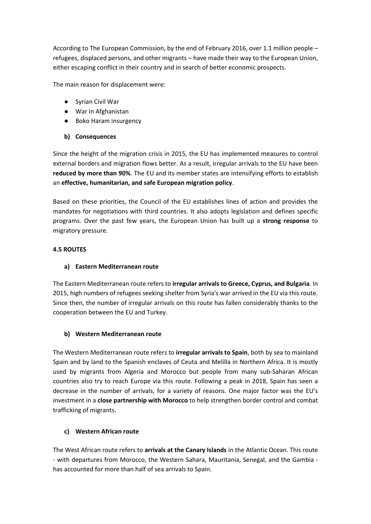According to The European Commission, by the end of February 2016, over 1.1 million people – refugees, displaced persons, and other migrants – have made their way to the European Union, either escaping conflict in their country and in search of better economic prospects.

The main reason for displacement were:

- Syrian Civil War
- War in Afghanistan
- Boko Haram insurgency
- **b) Consequences**

Since the height of the migration crisis in 2015, the EU has implemented measures to control external borders and migration flows better. As a result, irregular arrivals to the EU have been **reduced by more than 90%**. The EU and its member states are intensifying efforts to establish an **effective, humanitarian, and safe European migration policy**.

Based on these priorities, the Council of the EU establishes lines of action and provides the mandates for negotiations with third countries. It also adopts legislation and defines specific programs. Over the past few years, the European Union has built up a **strong response** to migratory pressure.

# **4.5 ROUTES**

# **a) Eastern Mediterranean route**

The Eastern Mediterranean route refers to **irregular arrivals to Greece, Cyprus, and Bulgaria**. In 2015, high numbers of refugees seeking shelter from Syria's war arrived in the EU via this route. Since then, the number of irregular arrivals on this route has fallen considerably thanks to the cooperation between the EU and Turkey.

# **b) Western Mediterranean route**

The Western Mediterranean route refers to **irregular arrivals to Spain**, both by sea to mainland Spain and by land to the Spanish enclaves of Ceuta and Melilla in Northern Africa. It is mostly used by migrants from Algeria and Morocco but people from many sub-Saharan African countries also try to reach Europe via this route. Following a peak in 2018, Spain has seen a decrease in the number of arrivals, for a variety of reasons. One major factor was the EU's investment in a **close partnership with Morocco** to help strengthen border control and combat trafficking of migrants.

# **c) Western African route**

The West African route refers to **arrivals at the Canary Islands** in the Atlantic Ocean. This route - with departures from Morocco, the Western Sahara, Mauritania, Senegal, and the Gambia has accounted for more than half of sea arrivals to Spain.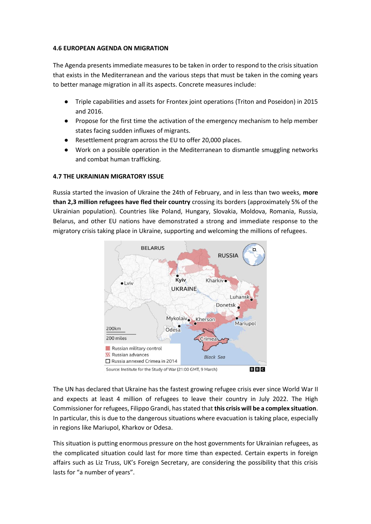## **4.6 EUROPEAN AGENDA ON MIGRATION**

The Agenda presents immediate measures to be taken in order to respond to the crisis situation that exists in the Mediterranean and the various steps that must be taken in the coming years to better manage migration in all its aspects. Concrete measures include:

- Triple capabilities and assets for Frontex joint operations (Triton and Poseidon) in 2015 and 2016.
- Propose for the first time the activation of the emergency mechanism to help member states facing sudden influxes of migrants.
- Resettlement program across the EU to offer 20,000 places.
- Work on a possible operation in the Mediterranean to dismantle smuggling networks and combat human trafficking.

# **4.7 THE UKRAINIAN MIGRATORY ISSUE**

Russia started the invasion of Ukraine the 24th of February, and in less than two weeks, **more than 2,3 million refugees have fled their country** crossing its borders (approximately 5% of the Ukrainian population). Countries like Poland, Hungary, Slovakia, Moldova, Romania, Russia, Belarus, and other EU nations have demonstrated a strong and immediate response to the migratory crisis taking place in Ukraine, supporting and welcoming the millions of refugees.



The UN has declared that Ukraine has the fastest growing refugee crisis ever since World War II and expects at least 4 million of refugees to leave their country in July 2022. The High Commissioner for refugees, Filippo Grandi, has stated that **this crisis will be a complex situation**. In particular, this is due to the dangerous situations where evacuation is taking place, especially in regions like Mariupol, Kharkov or Odesa.

This situation is putting enormous pressure on the host governments for Ukrainian refugees, as the complicated situation could last for more time than expected. Certain experts in foreign affairs such as Liz Truss, UK's Foreign Secretary, are considering the possibility that this crisis lasts for "a number of years".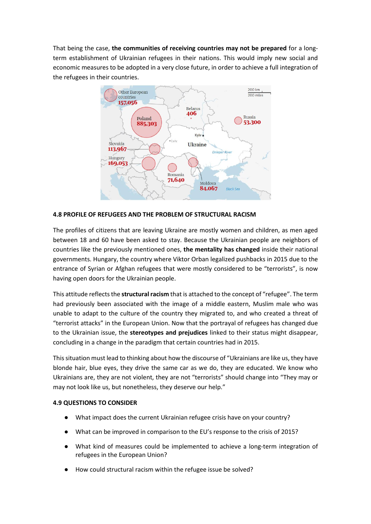That being the case, **the communities of receiving countries may not be prepared** for a longterm establishment of Ukrainian refugees in their nations. This would imply new social and economic measures to be adopted in a very close future, in order to achieve a full integration of the refugees in their countries.



## **4.8 PROFILE OF REFUGEES AND THE PROBLEM OF STRUCTURAL RACISM**

The profiles of citizens that are leaving Ukraine are mostly women and children, as men aged between 18 and 60 have been asked to stay. Because the Ukrainian people are neighbors of countries like the previously mentioned ones, **the mentality has changed** inside their national governments. Hungary, the country where Viktor Orban legalized pushbacks in 2015 due to the entrance of Syrian or Afghan refugees that were mostly considered to be "terrorists", is now having open doors for the Ukrainian people.

This attitude reflects the **structural racism** that is attached to the concept of "refugee". The term had previously been associated with the image of a middle eastern, Muslim male who was unable to adapt to the culture of the country they migrated to, and who created a threat of "terrorist attacks" in the European Union. Now that the portrayal of refugees has changed due to the Ukrainian issue, the **stereotypes and prejudices** linked to their status might disappear, concluding in a change in the paradigm that certain countries had in 2015.

This situation must lead to thinking about how the discourse of "Ukrainians are like us, they have blonde hair, blue eyes, they drive the same car as we do, they are educated. We know who Ukrainians are, they are not violent, they are not "terrorists" should change into "They may or may not look like us, but nonetheless, they deserve our help."

# **4.9 QUESTIONS TO CONSIDER**

- What impact does the current Ukrainian refugee crisis have on your country?
- What can be improved in comparison to the EU's response to the crisis of 2015?
- What kind of measures could be implemented to achieve a long-term integration of refugees in the European Union?
- How could structural racism within the refugee issue be solved?